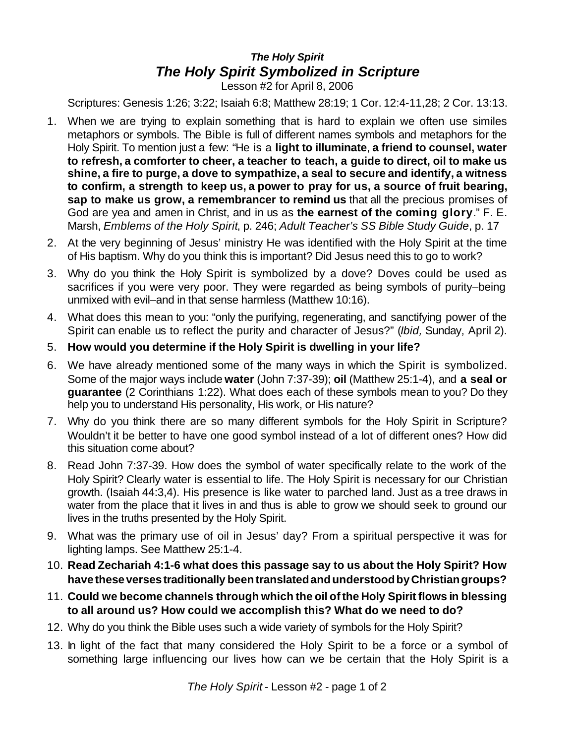## *The Holy Spirit The Holy Spirit Symbolized in Scripture*

Lesson #2 for April 8, 2006

Scriptures: Genesis 1:26; 3:22; Isaiah 6:8; Matthew 28:19; 1 Cor. 12:4-11,28; 2 Cor. 13:13.

- 1. When we are trying to explain something that is hard to explain we often use similes metaphors or symbols. The Bible is full of different names symbols and metaphors for the Holy Spirit. To mention just a few: "He is a **light to illuminate**, **a friend to counsel, water to refresh, a comforter to cheer, a teacher to teach, a guide to direct, oil to make us shine, a fire to purge, a dove to sympathize, a seal to secure and identify, a witness to confirm, a strength to keep us, a power to pray for us, a source of fruit bearing, sap to make us grow, a remembrancer to remind us** that all the precious promises of God are yea and amen in Christ, and in us as **the earnest of the coming glory**." F. E. Marsh, *Emblems of the Holy Spirit*, p. 246; *Adult Teacher's SS Bible Study Guide*, p. 17
- 2. At the very beginning of Jesus' ministry He was identified with the Holy Spirit at the time of His baptism. Why do you think this is important? Did Jesus need this to go to work?
- 3. Why do you think the Holy Spirit is symbolized by a dove? Doves could be used as sacrifices if you were very poor. They were regarded as being symbols of purity–being unmixed with evil–and in that sense harmless (Matthew 10:16).
- 4. What does this mean to you: "only the purifying, regenerating, and sanctifying power of the Spirit can enable us to reflect the purity and character of Jesus?" (*Ibid,* Sunday, April 2).
- 5. **How would you determine if the Holy Spirit is dwelling in your life?**
- 6. We have already mentioned some of the many ways in which the Spirit is symbolized. Some of the major ways include **water** (John 7:37-39); **oil** (Matthew 25:1-4), and **a seal or guarantee** (2 Corinthians 1:22). What does each of these symbols mean to you? Do they help you to understand His personality, His work, or His nature?
- 7. Why do you think there are so many different symbols for the Holy Spirit in Scripture? Wouldn't it be better to have one good symbol instead of a lot of different ones? How did this situation come about?
- 8. Read John 7:37-39. How does the symbol of water specifically relate to the work of the Holy Spirit? Clearly water is essential to life. The Holy Spirit is necessary for our Christian growth. (Isaiah 44:3,4). His presence is like water to parched land. Just as a tree draws in water from the place that it lives in and thus is able to grow we should seek to ground our lives in the truths presented by the Holy Spirit.
- 9. What was the primary use of oil in Jesus' day? From a spiritual perspective it was for lighting lamps. See Matthew 25:1-4.
- 10. **Read Zechariah 4:1-6 what does this passage say to us about the Holy Spirit? How havetheseversestraditionally beentranslatedandunderstoodbyChristiangroups?**
- 11. **Could we become channels through which the oil ofthe Holy Spirit flows in blessing to all around us? How could we accomplish this? What do we need to do?**
- 12. Why do you think the Bible uses such a wide variety of symbols for the Holy Spirit?
- 13. In light of the fact that many considered the Holy Spirit to be a force or a symbol of something large influencing our lives how can we be certain that the Holy Spirit is a